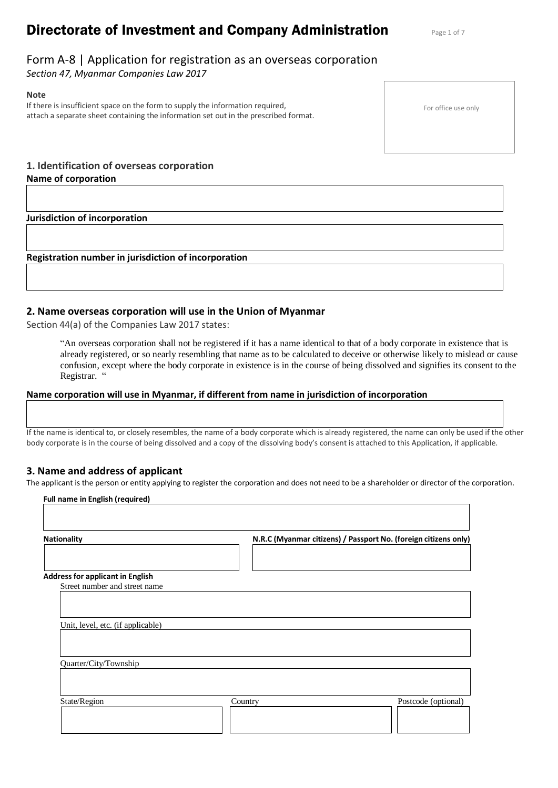# **Directorate of Investment and Company Administration** Page 1 of 7

## Form A-8 | Application for registration as an overseas corporation

*Section 47, Myanmar Companies Law 2017*

#### **Note**

If there is insufficient space on the form to supply the information required, attach a separate sheet containing the information set out in the prescribed format.

For office use only

### **1. Identification of overseas corporation Name of corporation**

**Jurisdiction of incorporation** 

**Registration number in jurisdiction of incorporation** 

### **2. Name overseas corporation will use in the Union of Myanmar**

Section 44(a) of the Companies Law 2017 states:

"An overseas corporation shall not be registered if it has a name identical to that of a body corporate in existence that is already registered, or so nearly resembling that name as to be calculated to deceive or otherwise likely to mislead or cause confusion, except where the body corporate in existence is in the course of being dissolved and signifies its consent to the Registrar. "

### **Name corporation will use in Myanmar, if different from name in jurisdiction of incorporation**

If the name is identical to, or closely resembles, the name of a body corporate which is already registered, the name can only be used if the other body corporate is in the course of being dissolved and a copy of the dissolving body's consent is attached to this Application, if applicable.

#### **3. Name and address of applicant**

**Full name in English (required)**

The applicant is the person or entity applying to register the corporation and does not need to be a shareholder or director of the corporation.

| <b>Nationality</b>                      | N.R.C (Myanmar citizens) / Passport No. (foreign citizens only) |                     |
|-----------------------------------------|-----------------------------------------------------------------|---------------------|
| <b>Address for applicant in English</b> |                                                                 |                     |
| Street number and street name           |                                                                 |                     |
|                                         |                                                                 |                     |
|                                         |                                                                 |                     |
| Unit, level, etc. (if applicable)       |                                                                 |                     |
|                                         |                                                                 |                     |
|                                         |                                                                 |                     |
| Quarter/City/Township                   |                                                                 |                     |
|                                         |                                                                 |                     |
|                                         |                                                                 |                     |
| State/Region                            | Country                                                         | Postcode (optional) |
|                                         |                                                                 |                     |
|                                         |                                                                 |                     |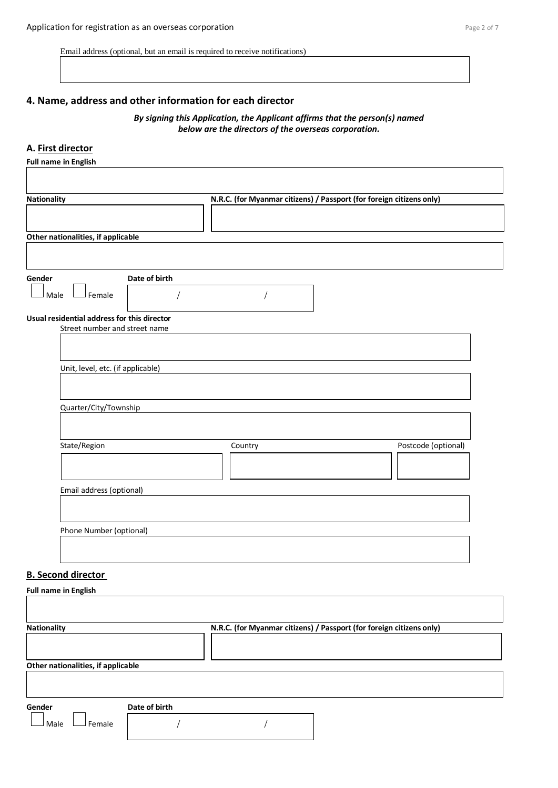### **4. Name, address and other information for each director**

*By signing this Application, the Applicant affirms that the person(s) named below are the directors of the overseas corporation.*

## **A. First director**

| <b>Nationality</b>                          | N.R.C. (for Myanmar citizens) / Passport (for foreign citizens only) |                     |
|---------------------------------------------|----------------------------------------------------------------------|---------------------|
|                                             |                                                                      |                     |
|                                             |                                                                      |                     |
| Other nationalities, if applicable          |                                                                      |                     |
|                                             |                                                                      |                     |
| Date of birth<br>Gender                     |                                                                      |                     |
|                                             |                                                                      |                     |
| Female<br>Male                              |                                                                      |                     |
| Usual residential address for this director |                                                                      |                     |
| Street number and street name               |                                                                      |                     |
|                                             |                                                                      |                     |
|                                             |                                                                      |                     |
| Unit, level, etc. (if applicable)           |                                                                      |                     |
|                                             |                                                                      |                     |
|                                             |                                                                      |                     |
|                                             |                                                                      |                     |
| Quarter/City/Township                       |                                                                      |                     |
|                                             |                                                                      |                     |
|                                             |                                                                      | Postcode (optional) |
| State/Region                                | Country                                                              |                     |
|                                             |                                                                      |                     |
|                                             |                                                                      |                     |
| Email address (optional)                    |                                                                      |                     |
|                                             |                                                                      |                     |

#### **B. Second director**

**Full name in English Nationality N.R.C. (for Myanmar citizens) / Passport (for foreign citizens only) Other nationalities, if applicable Gender Date of birth**  $\Box$  Male  $\Box$  Female / /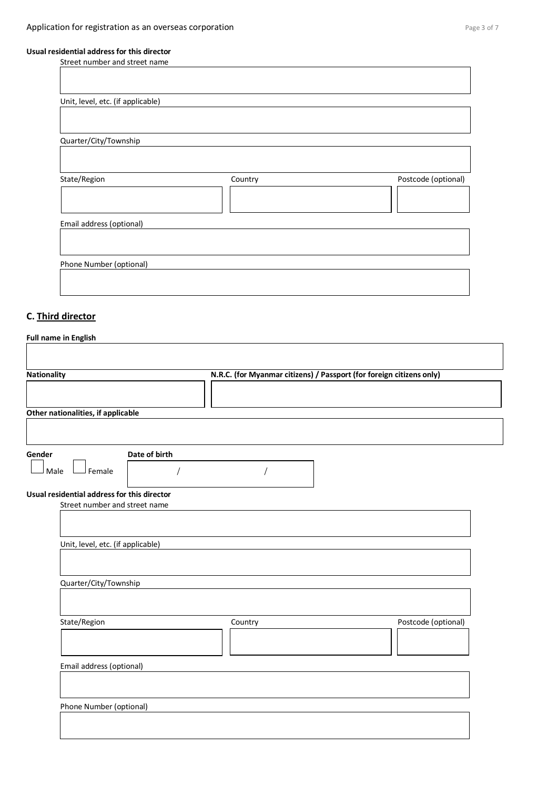## **Usual residential address for this director**

| Street number and street name     |         |                     |
|-----------------------------------|---------|---------------------|
|                                   |         |                     |
|                                   |         |                     |
| Unit, level, etc. (if applicable) |         |                     |
|                                   |         |                     |
|                                   |         |                     |
| Quarter/City/Township             |         |                     |
|                                   |         |                     |
|                                   |         |                     |
|                                   |         |                     |
| State/Region                      | Country | Postcode (optional) |
|                                   |         |                     |
|                                   |         |                     |
| Email address (optional)          |         |                     |
|                                   |         |                     |
|                                   |         |                     |
|                                   |         |                     |
| Phone Number (optional)           |         |                     |
|                                   |         |                     |
|                                   |         |                     |

## **C. Third director**

### **Full name in English**

 $\mathsf{l}$ 

| <b>Nationality</b>                          |         | N.R.C. (for Myanmar citizens) / Passport (for foreign citizens only) |
|---------------------------------------------|---------|----------------------------------------------------------------------|
|                                             |         |                                                                      |
| Other nationalities, if applicable          |         |                                                                      |
|                                             |         |                                                                      |
| Gender<br>Date of birth                     |         |                                                                      |
| Female<br>Male                              |         |                                                                      |
| Usual residential address for this director |         |                                                                      |
| Street number and street name               |         |                                                                      |
|                                             |         |                                                                      |
| Unit, level, etc. (if applicable)           |         |                                                                      |
|                                             |         |                                                                      |
|                                             |         |                                                                      |
| Quarter/City/Township                       |         |                                                                      |
|                                             |         |                                                                      |
|                                             |         |                                                                      |
| State/Region                                | Country | Postcode (optional)                                                  |
|                                             |         |                                                                      |
|                                             |         |                                                                      |
| Email address (optional)                    |         |                                                                      |
|                                             |         |                                                                      |
|                                             |         |                                                                      |
| Phone Number (optional)                     |         |                                                                      |
|                                             |         |                                                                      |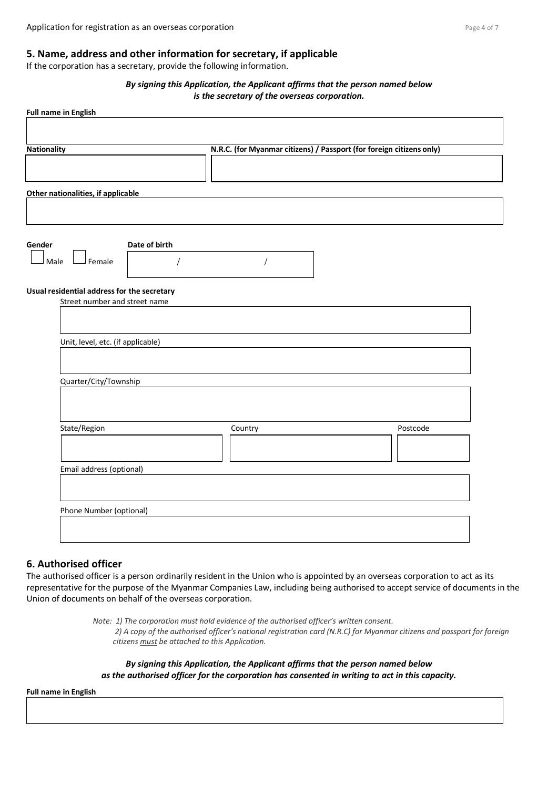#### **5. Name, address and other information for secretary, if applicable**

If the corporation has a secretary, provide the following information.

#### *By signing this Application, the Applicant affirms that the person named below is the secretary of the overseas corporation.*

| <b>Nationality</b>                                                           | N.R.C. (for Myanmar citizens) / Passport (for foreign citizens only) |          |
|------------------------------------------------------------------------------|----------------------------------------------------------------------|----------|
| Other nationalities, if applicable                                           |                                                                      |          |
| Date of birth<br>Gender<br>Male<br>Female                                    |                                                                      |          |
| Usual residential address for the secretary<br>Street number and street name |                                                                      |          |
| Unit, level, etc. (if applicable)                                            |                                                                      |          |
| Quarter/City/Township                                                        |                                                                      |          |
| State/Region                                                                 | Country                                                              | Postcode |
| Email address (optional)                                                     |                                                                      |          |
| Phone Number (optional)                                                      |                                                                      |          |
|                                                                              |                                                                      |          |

#### **6. Authorised officer**

The authorised officer is a person ordinarily resident in the Union who is appointed by an overseas corporation to act as its representative for the purpose of the Myanmar Companies Law, including being authorised to accept service of documents in the Union of documents on behalf of the overseas corporation.

> *Note: 1) The corporation must hold evidence of the authorised officer's written consent. 2) A copy of the authorised officer's national registration card (N.R.C) for Myanmar citizens and passport for foreign citizens must be attached to this Application.*

*By signing this Application, the Applicant affirms that the person named below as the authorised officer for the corporation has consented in writing to act in this capacity.*

**Full name in English**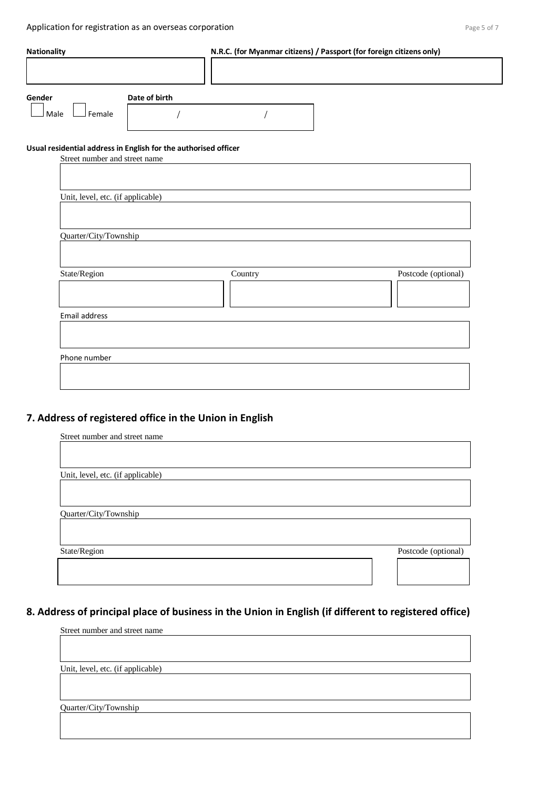| Gender                            |                                                                 |         |                     |
|-----------------------------------|-----------------------------------------------------------------|---------|---------------------|
| Female<br>Male                    | Date of birth                                                   |         |                     |
|                                   |                                                                 |         |                     |
|                                   |                                                                 |         |                     |
| Street number and street name     | Usual residential address in English for the authorised officer |         |                     |
|                                   |                                                                 |         |                     |
|                                   |                                                                 |         |                     |
| Unit, level, etc. (if applicable) |                                                                 |         |                     |
|                                   |                                                                 |         |                     |
|                                   |                                                                 |         |                     |
| Quarter/City/Township             |                                                                 |         |                     |
|                                   |                                                                 |         |                     |
|                                   |                                                                 |         |                     |
|                                   |                                                                 | Country | Postcode (optional) |
| State/Region                      |                                                                 |         |                     |
|                                   |                                                                 |         |                     |
|                                   |                                                                 |         |                     |

## **7. Address of registered office in the Union in English**

| Street number and street name     |                     |
|-----------------------------------|---------------------|
|                                   |                     |
|                                   |                     |
| Unit, level, etc. (if applicable) |                     |
|                                   |                     |
|                                   |                     |
| Quarter/City/Township             |                     |
|                                   |                     |
|                                   |                     |
| State/Region                      | Postcode (optional) |
|                                   |                     |
|                                   |                     |

## **8. Address of principal place of business in the Union in English (if different to registered office)**

| Street number and street name     |  |  |
|-----------------------------------|--|--|
|                                   |  |  |
|                                   |  |  |
| Unit, level, etc. (if applicable) |  |  |
|                                   |  |  |
|                                   |  |  |
| Quarter/City/Township             |  |  |
|                                   |  |  |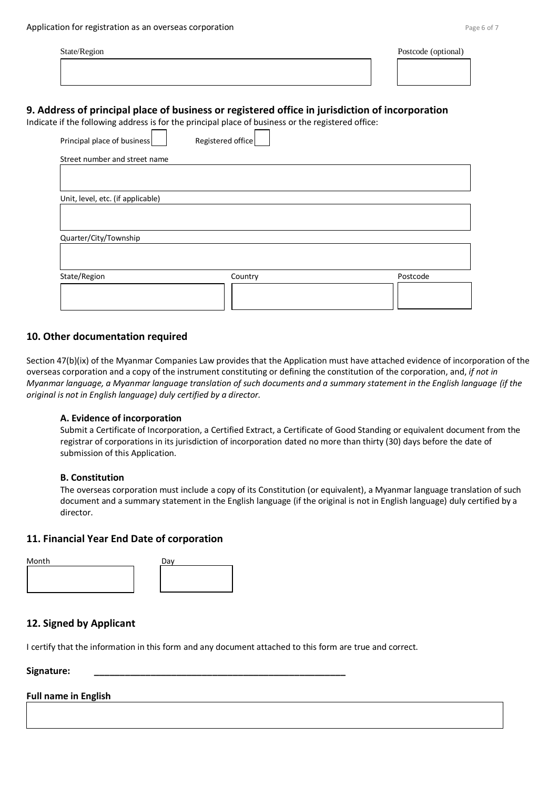| State/Region |  | Postcode (optional) |
|--------------|--|---------------------|
|              |  |                     |
|              |  |                     |

## **9. Address of principal place of business or registered office in jurisdiction of incorporation**

Indicate if the following address is for the principal place of business or the registered office: Principal place of business Registered office Street number and street name Unit, level, etc. (if applicable) Quarter/City/Township State/Region **Country Country Country Postcode** 

#### **10. Other documentation required**

Section 47(b)(ix) of the Myanmar Companies Law provides that the Application must have attached evidence of incorporation of the overseas corporation and a copy of the instrument constituting or defining the constitution of the corporation, and, *if not in Myanmar language, a Myanmar language translation of such documents and a summary statement in the English language (if the original is not in English language) duly certified by a director.*

#### **A. Evidence of incorporation**

Submit a Certificate of Incorporation, a Certified Extract, a Certificate of Good Standing or equivalent document from the registrar of corporations in its jurisdiction of incorporation dated no more than thirty (30) days before the date of submission of this Application.

#### **B. Constitution**

The overseas corporation must include a copy of its Constitution (or equivalent), a Myanmar language translation of such document and a summary statement in the English language (if the original is not in English language) duly certified by a director.

#### **11. Financial Year End Date of corporation**

## **12. Signed by Applicant**

I certify that the information in this form and any document attached to this form are true and correct.

**Signature: \_\_\_\_\_\_\_\_\_\_\_\_\_\_\_\_\_\_\_\_\_\_\_\_\_\_\_\_\_\_\_\_\_\_\_\_\_\_\_\_\_\_\_\_\_\_\_\_\_**

#### **Full name in English**